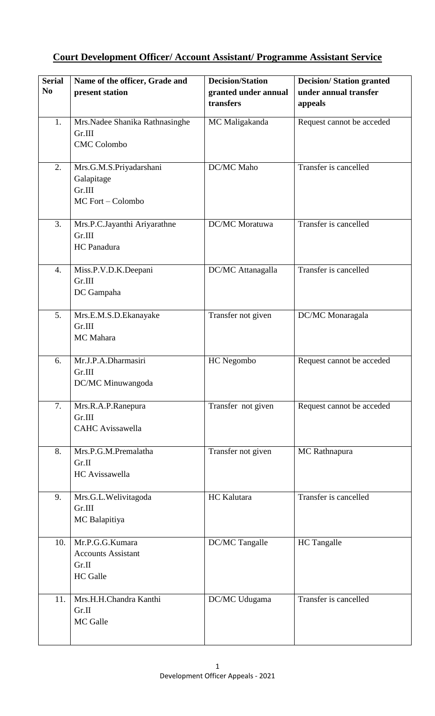## **Court Development Officer/ Account Assistant/ Programme Assistant Service**

| <b>Serial</b>    | Name of the officer, Grade and                                           | <b>Decision/Station</b>           | <b>Decision/Station granted</b>  |
|------------------|--------------------------------------------------------------------------|-----------------------------------|----------------------------------|
| N <sub>0</sub>   | present station                                                          | granted under annual<br>transfers | under annual transfer<br>appeals |
| 1.               | Mrs.Nadee Shanika Rathnasinghe<br>Gr.III<br><b>CMC</b> Colombo           | MC Maligakanda                    | Request cannot be acceded        |
| 2.               | Mrs.G.M.S.Priyadarshani<br>Galapitage<br>Gr.III<br>MC Fort - Colombo     | DC/MC Maho                        | Transfer is cancelled            |
| $\overline{3}$ . | Mrs.P.C.Jayanthi Ariyarathne<br>Gr.III<br>HC Panadura                    | DC/MC Moratuwa                    | Transfer is cancelled            |
| $\overline{4}$ . | Miss.P.V.D.K.Deepani<br>Gr.III<br>DC Gampaha                             | DC/MC Attanagalla                 | Transfer is cancelled            |
| 5.               | Mrs.E.M.S.D.Ekanayake<br>Gr.III<br>MC Mahara                             | Transfer not given                | DC/MC Monaragala                 |
| 6.               | Mr.J.P.A.Dharmasiri<br>Gr.III<br>DC/MC Minuwangoda                       | HC Negombo                        | Request cannot be acceded        |
| 7.               | Mrs.R.A.P.Ranepura<br>Gr.III<br><b>CAHC</b> Avissawella                  | Transfer not given                | Request cannot be acceded        |
| 8.               | Mrs.P.G.M.Premalatha<br>Gr.II<br>HC Avissawella                          | Transfer not given                | MC Rathnapura                    |
| 9.               | Mrs.G.L.Welivitagoda<br>Gr.III<br>MC Balapitiya                          | HC Kalutara                       | Transfer is cancelled            |
| 10.              | Mr.P.G.G.Kumara<br><b>Accounts Assistant</b><br>Gr.II<br><b>HC</b> Galle | DC/MC Tangalle                    | <b>HC</b> Tangalle               |
| 11.              | Mrs.H.H.Chandra Kanthi<br>Gr.II<br>MC Galle                              | DC/MC Udugama                     | Transfer is cancelled            |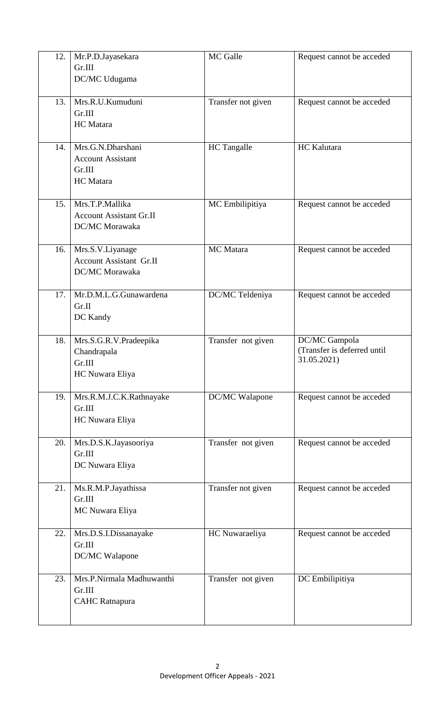| 12. | Mr.P.D.Jayasekara<br>Gr.III<br>DC/MC Udugama                                | MC Galle           | Request cannot be acceded                                   |
|-----|-----------------------------------------------------------------------------|--------------------|-------------------------------------------------------------|
| 13. | Mrs.R.U.Kumuduni<br>Gr.III<br><b>HC</b> Matara                              | Transfer not given | Request cannot be acceded                                   |
| 14. | Mrs.G.N.Dharshani<br><b>Account Assistant</b><br>Gr.III<br><b>HC</b> Matara | <b>HC</b> Tangalle | HC Kalutara                                                 |
| 15. | Mrs.T.P.Mallika<br><b>Account Assistant Gr.II</b><br>DC/MC Morawaka         | MC Embilipitiya    | Request cannot be acceded                                   |
| 16. | Mrs.S.V.Liyanage<br><b>Account Assistant Gr.II</b><br>DC/MC Morawaka        | MC Matara          | Request cannot be acceded                                   |
| 17. | Mr.D.M.L.G.Gunawardena<br>Gr.II<br>DC Kandy                                 | DC/MC Teldeniya    | Request cannot be acceded                                   |
| 18. | Mrs.S.G.R.V.Pradeepika<br>Chandrapala<br>Gr.III<br>HC Nuwara Eliya          | Transfer not given | DC/MC Gampola<br>(Transfer is deferred until<br>31.05.2021) |
| 19. | Mrs.R.M.J.C.K.Rathnayake<br>Gr.III<br>HC Nuwara Eliya                       | DC/MC Walapone     | Request cannot be acceded                                   |
| 20. | Mrs.D.S.K.Jayasooriya<br>Gr.III<br>DC Nuwara Eliya                          | Transfer not given | Request cannot be acceded                                   |
| 21. | Ms.R.M.P.Jayathissa<br>Gr.III<br>MC Nuwara Eliya                            | Transfer not given | Request cannot be acceded                                   |
| 22. | Mrs.D.S.I.Dissanayake<br>Gr.III<br>DC/MC Walapone                           | HC Nuwaraeliya     | Request cannot be acceded                                   |
| 23. | Mrs.P.Nirmala Madhuwanthi<br>Gr.III<br><b>CAHC</b> Ratnapura                | Transfer not given | DC Embilipitiya                                             |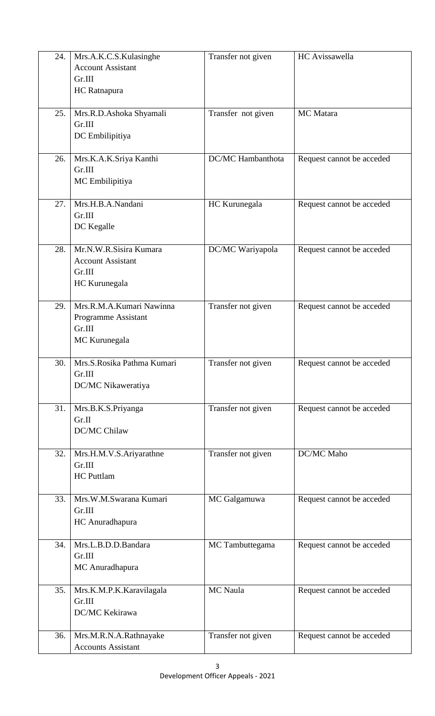| 24. | Mrs.A.K.C.S.Kulasinghe             | Transfer not given | HC Avissawella            |
|-----|------------------------------------|--------------------|---------------------------|
|     | <b>Account Assistant</b>           |                    |                           |
|     | Gr.III                             |                    |                           |
|     | HC Ratnapura                       |                    |                           |
|     |                                    |                    |                           |
| 25. | Mrs.R.D.Ashoka Shyamali            | Transfer not given | MC Matara                 |
|     | Gr.III                             |                    |                           |
|     | DC Embilipitiya                    |                    |                           |
|     |                                    |                    |                           |
| 26. | Mrs.K.A.K.Sriya Kanthi<br>Gr.III   | DC/MC Hambanthota  | Request cannot be acceded |
|     | MC Embilipitiya                    |                    |                           |
|     |                                    |                    |                           |
| 27. | Mrs.H.B.A.Nandani                  | HC Kurunegala      | Request cannot be acceded |
|     | Gr.III                             |                    |                           |
|     | DC Kegalle                         |                    |                           |
|     |                                    |                    |                           |
| 28. | Mr.N.W.R.Sisira Kumara             | DC/MC Wariyapola   | Request cannot be acceded |
|     | <b>Account Assistant</b>           |                    |                           |
|     | Gr.III                             |                    |                           |
|     | HC Kurunegala                      |                    |                           |
|     |                                    |                    |                           |
| 29. | Mrs.R.M.A.Kumari Nawinna           | Transfer not given | Request cannot be acceded |
|     | Programme Assistant<br>Gr.III      |                    |                           |
|     | MC Kurunegala                      |                    |                           |
|     |                                    |                    |                           |
| 30. | Mrs.S.Rosika Pathma Kumari         | Transfer not given | Request cannot be acceded |
|     | Gr.III                             |                    |                           |
|     | DC/MC Nikaweratiya                 |                    |                           |
|     |                                    |                    |                           |
| 31. | Mrs.B.K.S.Priyanga                 | Transfer not given | Request cannot be acceded |
|     | Gr.II                              |                    |                           |
|     | DC/MC Chilaw                       |                    |                           |
|     |                                    |                    |                           |
| 32. | Mrs.H.M.V.S.Ariyarathne<br>Gr.III  | Transfer not given | DC/MC Maho                |
|     | <b>HC</b> Puttlam                  |                    |                           |
|     |                                    |                    |                           |
| 33. | Mrs.W.M.Swarana Kumari             | MC Galgamuwa       | Request cannot be acceded |
|     | Gr.III                             |                    |                           |
|     | HC Anuradhapura                    |                    |                           |
|     |                                    |                    |                           |
| 34. | Mrs.L.B.D.D.Bandara                | MC Tambuttegama    | Request cannot be acceded |
|     | Gr.III                             |                    |                           |
|     | MC Anuradhapura                    |                    |                           |
|     |                                    |                    |                           |
| 35. | Mrs.K.M.P.K.Karavilagala<br>Gr.III | <b>MC</b> Naula    | Request cannot be acceded |
|     | DC/MC Kekirawa                     |                    |                           |
|     |                                    |                    |                           |
| 36. | Mrs.M.R.N.A.Rathnayake             | Transfer not given | Request cannot be acceded |
|     | <b>Accounts Assistant</b>          |                    |                           |
|     |                                    |                    |                           |